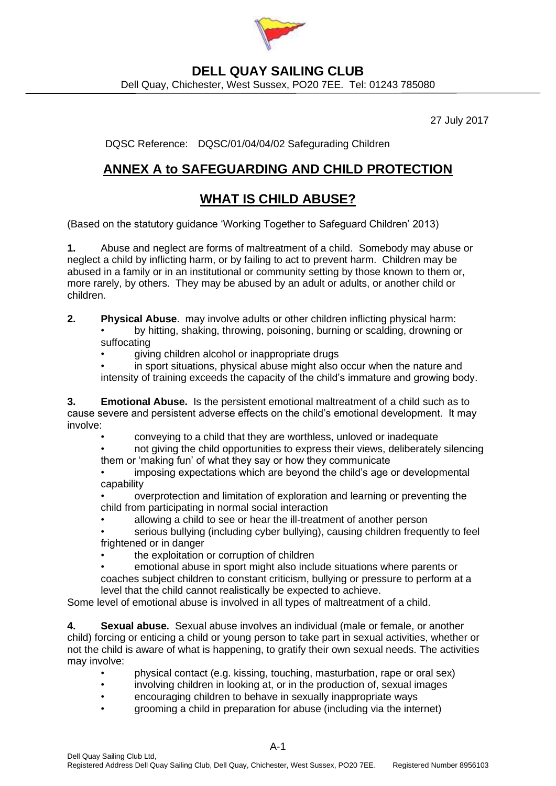

### **DELL QUAY SAILING CLUB**

Dell Quay, Chichester, West Sussex, PO20 7EE. Tel: 01243 785080

27 July 2017

DQSC Reference: DQSC/01/04/04/02 Safegurading Children

## **ANNEX A to SAFEGUARDING AND CHILD PROTECTION**

## **WHAT IS CHILD ABUSE?**

(Based on the statutory guidance 'Working Together to Safeguard Children' 2013)

**1.** Abuse and neglect are forms of maltreatment of a child. Somebody may abuse or neglect a child by inflicting harm, or by failing to act to prevent harm. Children may be abused in a family or in an institutional or community setting by those known to them or, more rarely, by others. They may be abused by an adult or adults, or another child or children.

**2. Physical Abuse**. may involve adults or other children inflicting physical harm: • by hitting, shaking, throwing, poisoning, burning or scalding, drowning or suffocating

• giving children alcohol or inappropriate drugs

in sport situations, physical abuse might also occur when the nature and intensity of training exceeds the capacity of the child's immature and growing body.

**3. Emotional Abuse.** Is the persistent emotional maltreatment of a child such as to cause severe and persistent adverse effects on the child's emotional development. It may involve:

• conveying to a child that they are worthless, unloved or inadequate

• not giving the child opportunities to express their views, deliberately silencing them or 'making fun' of what they say or how they communicate

• imposing expectations which are beyond the child's age or developmental capability

• overprotection and limitation of exploration and learning or preventing the child from participating in normal social interaction

• allowing a child to see or hear the ill-treatment of another person

• serious bullying (including cyber bullying), causing children frequently to feel frightened or in danger

the exploitation or corruption of children

• emotional abuse in sport might also include situations where parents or coaches subject children to constant criticism, bullying or pressure to perform at a level that the child cannot realistically be expected to achieve.

Some level of emotional abuse is involved in all types of maltreatment of a child.

**4. Sexual abuse.** Sexual abuse involves an individual (male or female, or another child) forcing or enticing a child or young person to take part in sexual activities, whether or not the child is aware of what is happening, to gratify their own sexual needs. The activities may involve:

- physical contact (e.g. kissing, touching, masturbation, rape or oral sex)
- involving children in looking at, or in the production of, sexual images
- encouraging children to behave in sexually inappropriate ways
- grooming a child in preparation for abuse (including via the internet)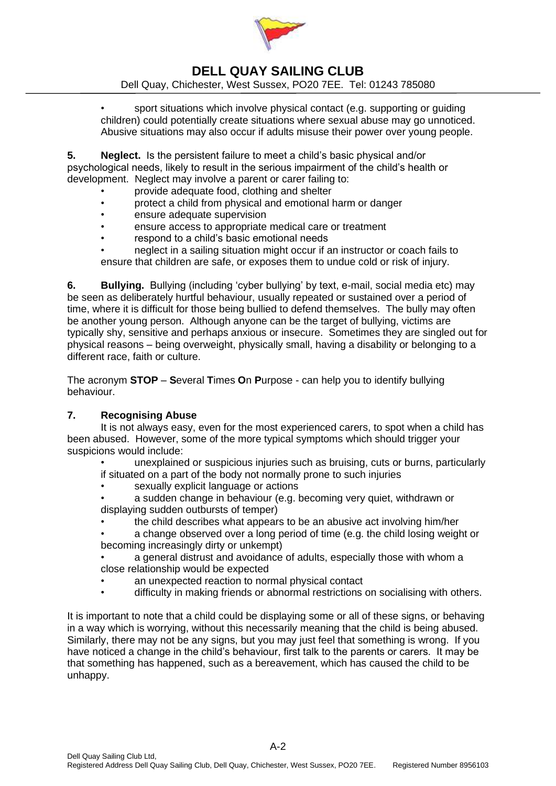

## **DELL QUAY SAILING CLUB**

Dell Quay, Chichester, West Sussex, PO20 7EE. Tel: 01243 785080

• sport situations which involve physical contact (e.g. supporting or guiding children) could potentially create situations where sexual abuse may go unnoticed. Abusive situations may also occur if adults misuse their power over young people.

**5. Neglect.** Is the persistent failure to meet a child's basic physical and/or psychological needs, likely to result in the serious impairment of the child's health or development. Neglect may involve a parent or carer failing to:

- provide adequate food, clothing and shelter
- protect a child from physical and emotional harm or danger
- ensure adequate supervision
- ensure access to appropriate medical care or treatment
- respond to a child's basic emotional needs

• neglect in a sailing situation might occur if an instructor or coach fails to ensure that children are safe, or exposes them to undue cold or risk of injury.

**6. Bullying.** Bullying (including 'cyber bullying' by text, e-mail, social media etc) may be seen as deliberately hurtful behaviour, usually repeated or sustained over a period of time, where it is difficult for those being bullied to defend themselves. The bully may often be another young person. Although anyone can be the target of bullying, victims are typically shy, sensitive and perhaps anxious or insecure. Sometimes they are singled out for physical reasons – being overweight, physically small, having a disability or belonging to a different race, faith or culture.

The acronym **STOP** – **S**everal **T**imes **O**n **P**urpose - can help you to identify bullying behaviour.

#### **7. Recognising Abuse**

It is not always easy, even for the most experienced carers, to spot when a child has been abused. However, some of the more typical symptoms which should trigger your suspicions would include:

• unexplained or suspicious injuries such as bruising, cuts or burns, particularly if situated on a part of the body not normally prone to such injuries

sexually explicit language or actions

• a sudden change in behaviour (e.g. becoming very quiet, withdrawn or displaying sudden outbursts of temper)

- the child describes what appears to be an abusive act involving him/her
- a change observed over a long period of time (e.g. the child losing weight or becoming increasingly dirty or unkempt)
- a general distrust and avoidance of adults, especially those with whom a close relationship would be expected
- an unexpected reaction to normal physical contact
- difficulty in making friends or abnormal restrictions on socialising with others.

It is important to note that a child could be displaying some or all of these signs, or behaving in a way which is worrying, without this necessarily meaning that the child is being abused. Similarly, there may not be any signs, but you may just feel that something is wrong. If you have noticed a change in the child's behaviour, first talk to the parents or carers. It may be that something has happened, such as a bereavement, which has caused the child to be unhappy.